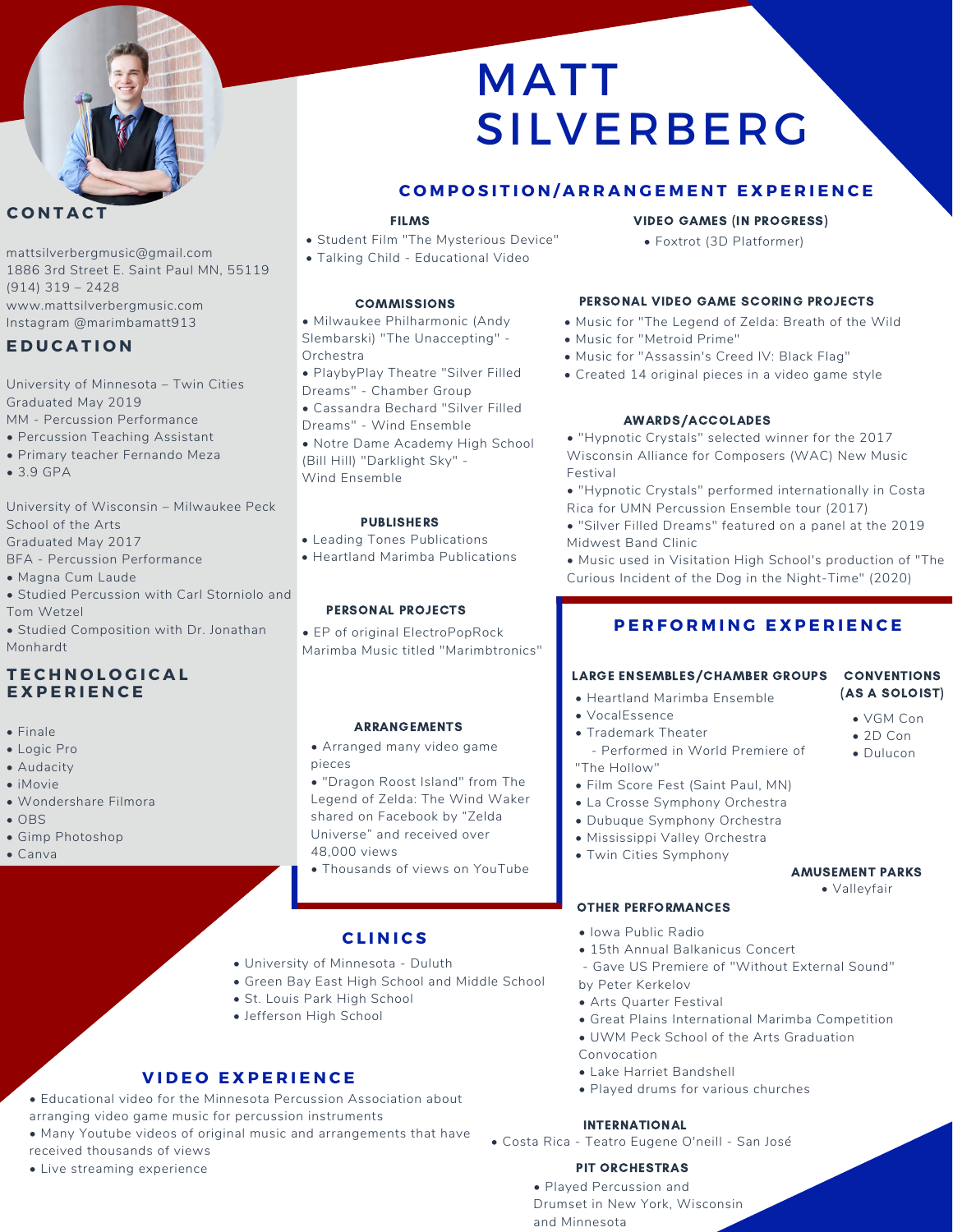

# **C O N T A C T**

mattsilverbergmusic@gmail.com 1886 3rd Street E. Saint Paul MN, 55119 (914) 319 – 2428 www.mattsilverbergmusic.com Instagram @marimbamatt913

# **E D U C A T I O N**

University of Minnesota – Twin Cities Graduated May 2019 MM - Percussion Performance

- Percussion Teaching Assistant
- Primary teacher Fernando Meza
- 3.9 GPA

University of Wisconsin – Milwaukee Peck School of the Arts Graduated May 2017

BFA - Percussion Performance

- Magna Cum Laude
- Studied Percussion with Carl Storniolo and Tom Wetzel
- Studied Composition with Dr. Jonathan Monhardt

# **T E C H N O L O G I C A L E X P E R I E N C E**

- Finale
- Logic Pro
- Audacity
- iMovie
- Wondershare Filmora
- OBS
- Gimp Photoshop
- Canva

# MATT SILVERBERG

# **COMPOSITION/ARRANGEMENT EXPERIENCE**

#### FILMS

- Student Film "The Mysterious Device"
- Talking Child Educational Video

• Milwaukee Philharmonic (Andy Slembarski) "The Unaccepting" - Orchestra

- PlaybyPlay Theatre "Silver Filled Dreams" - Chamber Group
- Cassandra Bechard "Silver Filled
- Dreams" Wind Ensemble
- Notre Dame Academy High School (Bill Hill) "Darklight Sky" - Wind Ensemble

### PUBLISHERS

- Leading Tones Publications
- Heartland Marimba Publications

### PERSONAL PROJECTS

• EP of original ElectroPopRock Marimba Music titled "Marimbtronics"

### ARRANGEMENTS

- Arranged many video game pieces
- "Dragon Roost Island" from The Legend of Zelda: The Wind Waker shared on Facebook by "Zelda Universe" and received over 48,000 views
- Thousands of views on YouTube

# **C L I N I C S**

- University of Minnesota Duluth
- Green Bay East High School and Middle School
- St. Louis Park High School
- Jefferson High School

# **V I D E O E X P E R I E N C E**

- Educational video for the Minnesota Percussion Association about arranging video game music for percussion instruments
- Many Youtube videos of original music and arrangements that have received thousands of views
- Live streaming experience

# VIDEO GAMES (IN PROGRESS)

• Foxtrot (3D Platformer)

# COMMISSIONS PERSONAL VIDEO GAME SCORING PROJECTS

- Music for "The Legend of Zelda: Breath of the Wild
- Music for "Metroid Prime"
- Music for "Assassin's Creed IV: Black Flag"
- Created 14 original pieces in a video game style

# AWARDS/ACCOLADES

• "Hypnotic Crystals" selected winner for the 2017 Wisconsin Alliance for Composers (WAC) New Music Festival

• "Hypnotic Crystals" performed internationally in Costa Rica for UMN Percussion Ensemble tour (2017)

• "Silver Filled Dreams" featured on a panel at the 2019 Midwest Band Clinic

• Music used in Visitation High School's production of "The Curious Incident of the Dog in the Night-Time" (2020)

# $P$  **ERFORMING EXPERIENCE**

# LARGE ENSEMBLES/CHAMBER GROUPS CONVENTIONS

- Heartland Marimba Ensemble
- VocalEssence
- Trademark Theater - Performed in World Premiere of "The Hollow"
- Film Score Fest (Saint Paul, MN)
- La Crosse Symphony Orchestra
- Dubuque [Symphony](https://www.dubuquesymphony.org/) Orchestra
- 
- Twin Cities Symphony

OTHER PERFORMANCES

### AMUSEMENT PARKS

• Valleyfair

- Iowa Public Radio
- 15th Annual Balkanicus Concert
- Gave US Premiere of "Without External Sound" by Peter Kerkelov
- Arts Quarter Festival
- Great Plains International Marimba Competition
- UWM Peck School of the Arts Graduation
- Convocation
- Lake Harriet Bandshell
- Played drums for various churches

### INTERNATIONAL

• Costa Rica - Teatro Eugene O'neill - San José

### PIT ORCHESTRAS

• Played Percussion and Drumset in New York, Wisconsin and Minnesota

• VGM Con • 2D Con • Dulucon

(AS A SOLOIST)

- 
- Mississippi Valley Orchestra
-